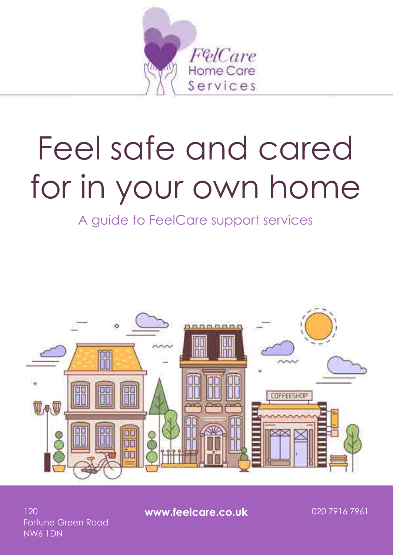

# for in your own home Feel safe and cared

A guide to FeelCare support services



Fortune Green Road NW6 1DN

120 **www.feelcare.co.uk** 020 7916 7961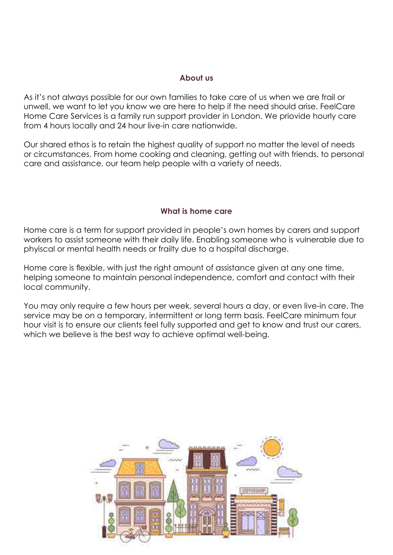#### **About us**

As it's not always possible for our own families to take care of us when we are frail or unwell, we want to let you know we are here to help if the need should arise. FeelCare Home Care Services is a family run support provider in London. We priovide hourly care from 4 hours locally and 24 hour live-in care nationwide.

Our shared ethos is to retain the highest quality of support no matter the level of needs or circumstances. From home cooking and cleaning, getting out with friends, to personal care and assistance, our team help people with a variety of needs.

#### **What is home care**

Home care is a term for support provided in people's own homes by carers and support workers to assist someone with their daily life. Enabling someone who is vulnerable due to phyiscal or mental health needs or frailty due to a hospital discharge.

Home care is flexible, with just the right amount of assistance given at any one time, helping someone to maintain personal independence, comfort and contact with their local community.

You may only require a few hours per week, several hours a day, or even live-in care. The service may be on a temporary, intermittent or long term basis. FeelCare minimum four hour visit is to ensure our clients feel fully supported and get to know and trust our carers, which we believe is the best way to achieve optimal well-being.

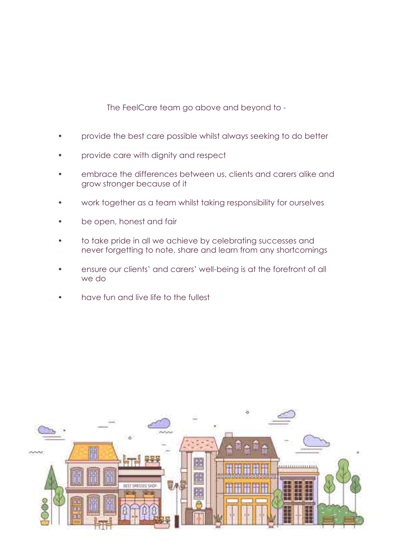The FeelCare team go above and beyond to -

- provide the best care possible whilst always seeking to do better
- provide care with dignity and respect
- embrace the differences between us, clients and carers alike and grow stronger because of it
- work together as a team whilst taking responsibility for ourselves
- be open, honest and fair
- to take pride in all we achieve by celebrating successes and never forgetting to note, share and learn from any shortcomings
- ensure our clients' and carers' well-being is at the forefront of all we do
- have fun and live life to the fullest

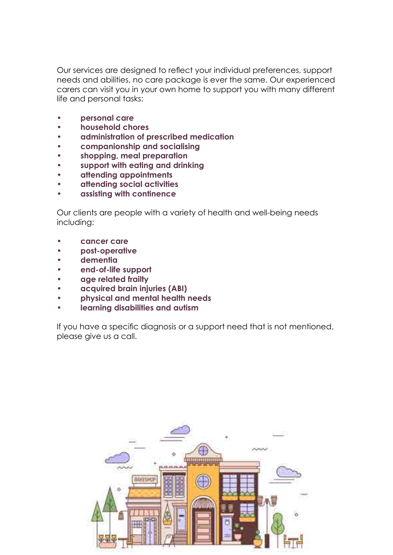Our services are designed to reflect your individual preferences, support needs and abilities, no care package is ever the same. Our experienced carers can visit you in your own home to support you with many different life and personal tasks:

- **• personal care**
- **• household chores**
- **• administration of prescribed medication**
- **• companionship and socialising**
- **• shopping, meal preparation**
- **• support with eating and drinking**
- **• attending appointments**
- **• attending social activities**
- **• assisting with continence**

Our clients are people with a variety of health and well-being needs including:

- **• cancer care**
- **• post-operative**
- **• dementia**
- **• end-of-life support**
- **• age related frailty**
- **• acquired brain injuries (ABI)**
- **• physical and mental health needs**
- **• learning disabilities and autism**

If you have a specific diagnosis or a support need that is not mentioned, please give us a call.

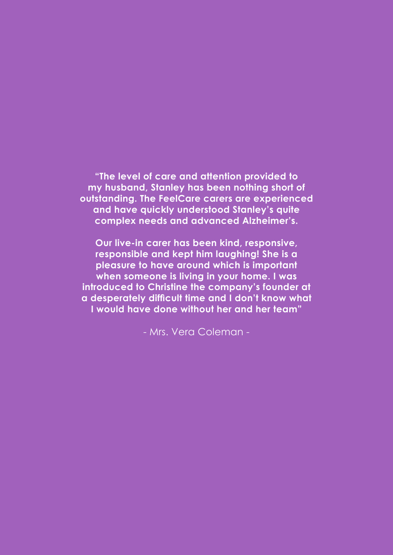**"The level of care and attention provided to my husband, Stanley has been nothing short of outstanding. The FeelCare carers are experienced and have quickly understood Stanley's quite complex needs and advanced Alzheimer's.**

**Our live-in carer has been kind, responsive, responsible and kept him laughing! She is a pleasure to have around which is important when someone is living in your home. I was introduced to Christine the company's founder at a desperately difficult time and I don't know what I would have done without her and her team"**

- Mrs. Vera Coleman -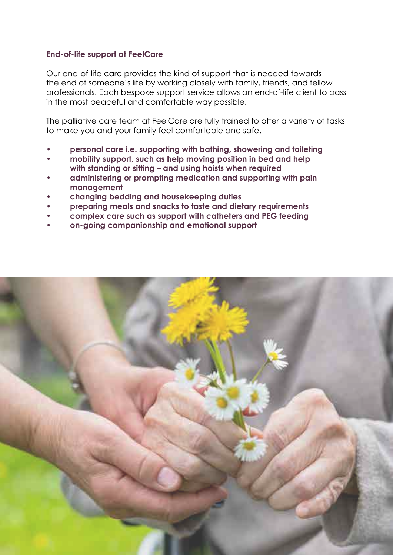#### **End-of-life support at FeelCare**

Our end-of-life care provides the kind of support that is needed towards the end of someone's life by working closely with family, friends, and fellow professionals. Each bespoke support service allows an end-of-life client to pass in the most peaceful and comfortable way possible.

The palliative care team at FeelCare are fully trained to offer a variety of tasks to make you and your family feel comfortable and safe.

- **• personal care i.e. supporting with bathing, showering and toileting**
- **• mobility support, such as help moving position in bed and help with standing or sitting – and using hoists when required**
- **• administering or prompting medication and supporting with pain management**
- **• changing bedding and housekeeping duties**
- **• preparing meals and snacks to taste and dietary requirements**
- **• complex care such as support with catheters and PEG feeding**
- **• on-going companionship and emotional support**

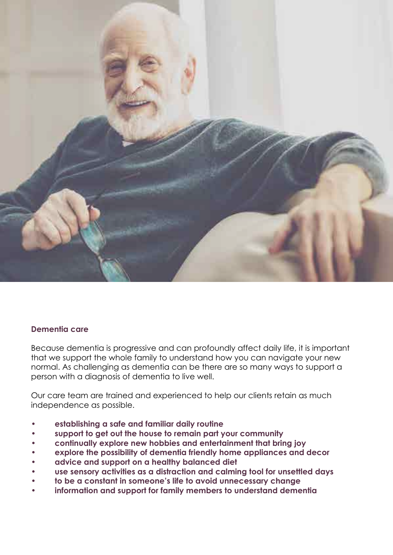

#### **Dementia care**

Because dementia is progressive and can profoundly affect daily life, it is important that we support the whole family to understand how you can navigate your new normal. As challenging as dementia can be there are so many ways to support a person with a diagnosis of dementia to live well.

Our care team are trained and experienced to help our clients retain as much independence as possible.

- **• establishing a safe and familiar daily routine**
- **• support to get out the house to remain part your community**
- **• continually explore new hobbies and entertainment that bring joy**
- **• explore the possibility of dementia friendly home appliances and decor**
- **• advice and support on a healthy balanced diet**
- **• use sensory activities as a distraction and calming tool for unsettled days**
- **• to be a constant in someone's life to avoid unnecessary change**
- **• information and support for family members to understand dementia**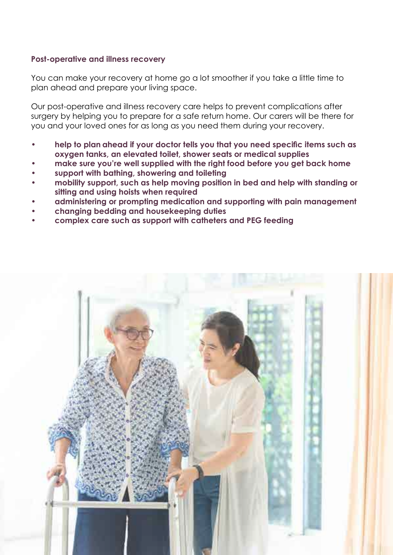#### **Post-operative and illness recovery**

You can make your recovery at home go a lot smoother if you take a little time to plan ahead and prepare your living space.

Our post-operative and illness recovery care helps to prevent complications after surgery by helping you to prepare for a safe return home. Our carers will be there for you and your loved ones for as long as you need them during your recovery.

- **• help to plan ahead if your doctor tells you that you need specific items such as oxygen tanks, an elevated toilet, shower seats or medical supplies**
- **• make sure you're well supplied with the right food before you get back home**
- **• support with bathing, showering and toileting**
- **• mobility support, such as help moving position in bed and help with standing or sitting and using hoists when required**
- **• administering or prompting medication and supporting with pain management**
- **• changing bedding and housekeeping duties**
- **• complex care such as support with catheters and PEG feeding**

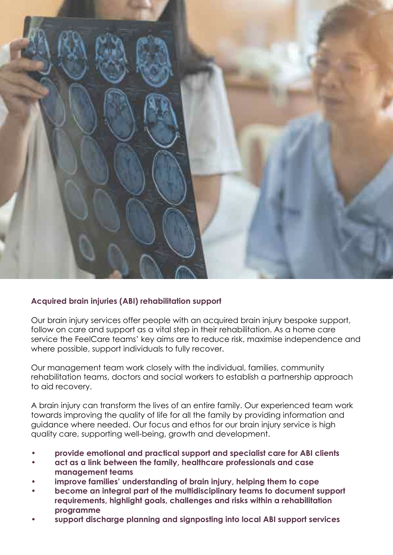

#### **Acquired brain injuries (ABI) rehabilitation support**

Our brain injury services offer people with an acquired brain injury bespoke support, follow on care and support as a vital step in their rehabilitation. As a home care service the FeelCare teams' key aims are to reduce risk, maximise independence and where possible, support individuals to fully recover.

Our management team work closely with the individual, families, community rehabilitation teams, doctors and social workers to establish a partnership approach to aid recovery.

A brain injury can transform the lives of an entire family. Our experienced team work towards improving the quality of life for all the family by providing information and guidance where needed. Our focus and ethos for our brain injury service is high quality care, supporting well-being, growth and development.

- **• provide emotional and practical support and specialist care for ABI clients**
- **• act as a link between the family, healthcare professionals and case management teams**
- **• improve families' understanding of brain injury, helping them to cope**
- **• become an integral part of the multidisciplinary teams to document support requirements, highlight goals, challenges and risks within a rehabilitation programme**
- **• support discharge planning and signposting into local ABI support services**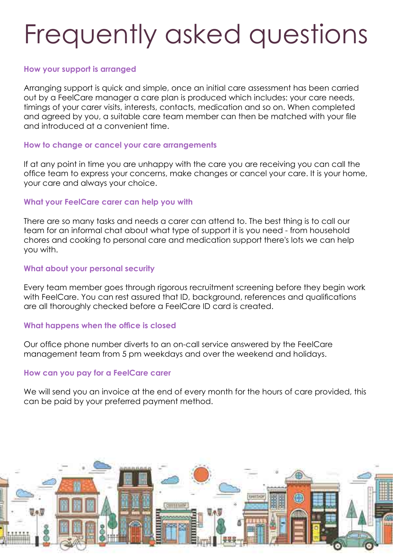## Frequently asked questions

#### **How your support is arranged**

Arranging support is quick and simple, once an initial care assessment has been carried out by a FeelCare manager a care plan is produced which includes: your care needs, timings of your carer visits, interests, contacts, medication and so on. When completed and agreed by you, a suitable care team member can then be matched with your file and introduced at a convenient time.

#### **How to change or cancel your care arrangements**

If at any point in time you are unhappy with the care you are receiving you can call the office team to express your concerns, make changes or cancel your care. It is your home, your care and always your choice.

#### **What your FeelCare carer can help you with**

There are so many tasks and needs a carer can attend to. The best thing is to call our team for an informal chat about what type of support it is you need - from household chores and cooking to personal care and medication support there's lots we can help you with.

#### **What about your personal security**

Every team member goes through rigorous recruitment screening before they begin work with FeelCare. You can rest assured that ID, background, references and qualifications are all thoroughly checked before a FeelCare ID card is created.

#### **What happens when the office is closed**

Our office phone number diverts to an on-call service answered by the FeelCare management team from 5 pm weekdays and over the weekend and holidays.

#### **How can you pay for a FeelCare carer**

We will send you an invoice at the end of every month for the hours of care provided, this can be paid by your preferred payment method.

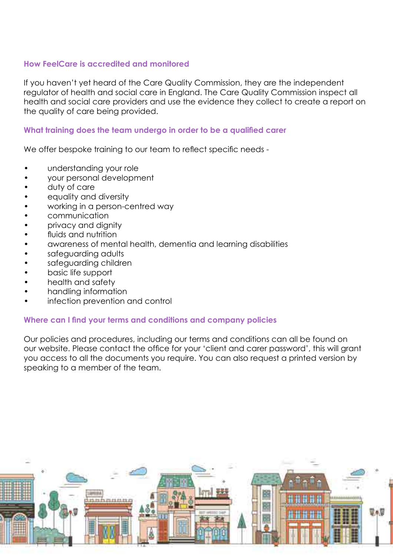#### **How FeelCare is accredited and monitored**

If you haven't yet heard of the Care Quality Commission, they are the independent regulator of health and social care in England. The Care Quality Commission inspect all health and social care providers and use the evidence they collect to create a report on the quality of care being provided.

#### **What training does the team undergo in order to be a qualified carer**

We offer bespoke training to our team to reflect specific needs -

- understanding your role
- your personal development
- duty of care
- equality and diversity
- working in a person-centred way
- communication
- privacy and dignity
- fluids and nutrition
- awareness of mental health, dementia and learning disabilities
- safeguarding adults
- safeguarding children
- basic life support
- health and safety
- handling information
- infection prevention and control

#### **Where can I find your terms and conditions and company policies**

Our policies and procedures, including our terms and conditions can all be found on our website. Please contact the office for your 'client and carer password', this will grant you access to all the documents you require. You can also request a printed version by speaking to a member of the team.